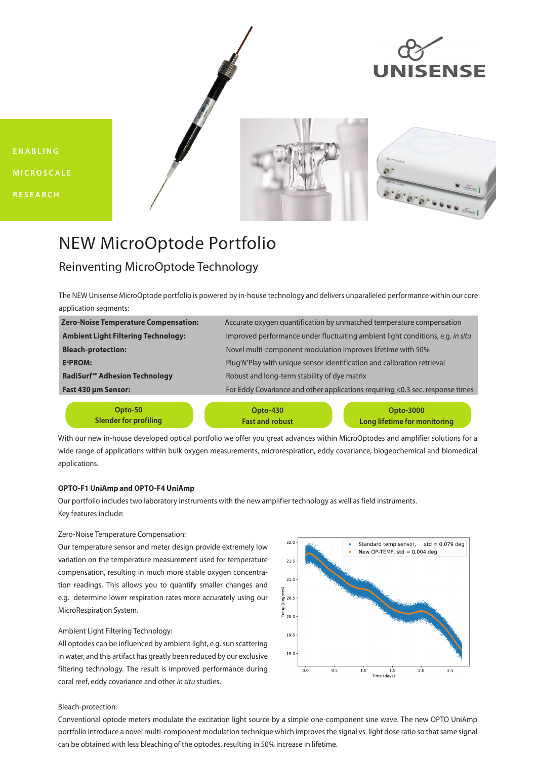

**E N A B L I N G MICROSCALE RESEARCH**





# NEW MicroOptode Portfolio

# Reinventing MicroOptode Technology

The NEW Unisense MicroOptode portfolio is powered by in-house technology and delivers unparalleled performance within our core application segments:

| <b>Zero-Noise Temperature Compensation:</b> | Accurate oxygen quantification by unmatched temperature compensation          |           |
|---------------------------------------------|-------------------------------------------------------------------------------|-----------|
| <b>Ambient Light Filtering Technology:</b>  | Improved performance under fluctuating ambient light conditions, e.g. in situ |           |
| <b>Bleach-protection:</b>                   | Novel multi-component modulation improves lifetime with 50%                   |           |
| E <sup>2</sup> PROM:                        | Plug'N'Play with unique sensor identification and calibration retrieval       |           |
| RadiSurf™ Adhesion Technology               | Robust and long-term stability of dye matrix                                  |           |
| Fast 430 µm Sensor:                         | For Eddy Covariance and other applications requiring <0.3 sec. response times |           |
| Opto-50                                     | Opto-430                                                                      | Opto-3000 |

**Slender for profiling**

**Fast and robust**

**Long lifetime for monitoring**

With our new in-house developed optical portfolio we offer you great advances within MicroOptodes and amplifier solutions for a wide range of applications within bulk oxygen measurements, microrespiration, eddy covariance, biogeochemical and biomedical applications.

# **OPTO-F1 UniAmp and OPTO-F4 UniAmp**

Our portfolio includes two laboratory instruments with the new amplifier technology as well as field instruments. Key features include:

# Zero-Noise Temperature Compensation:

Our temperature sensor and meter design provide extremely low variation on the temperature measurement used for temperature compensation, resulting in much more stable oxygen concentration readings. This allows you to quantify smaller changes and e.g. determine lower respiration rates more accurately using our MicroRespiration System.

# Ambient Light Filtering Technology:

All optodes can be influenced by ambient light, e.g. sun scattering in water, and this artifact has greatly been reduced by our exclusive filtering technology. The result is improved performance during coral reef, eddy covariance and other *in situ* studies.



# Bleach-protection:

Conventional optode meters modulate the excitation light source by a simple one-component sine wave. The new OPTO UniAmp portfolio introduce a novel multi-component modulation technique which improves the signal vs. light dose ratio so that same signal can be obtained with less bleaching of the optodes, resulting in 50% increase in lifetime.